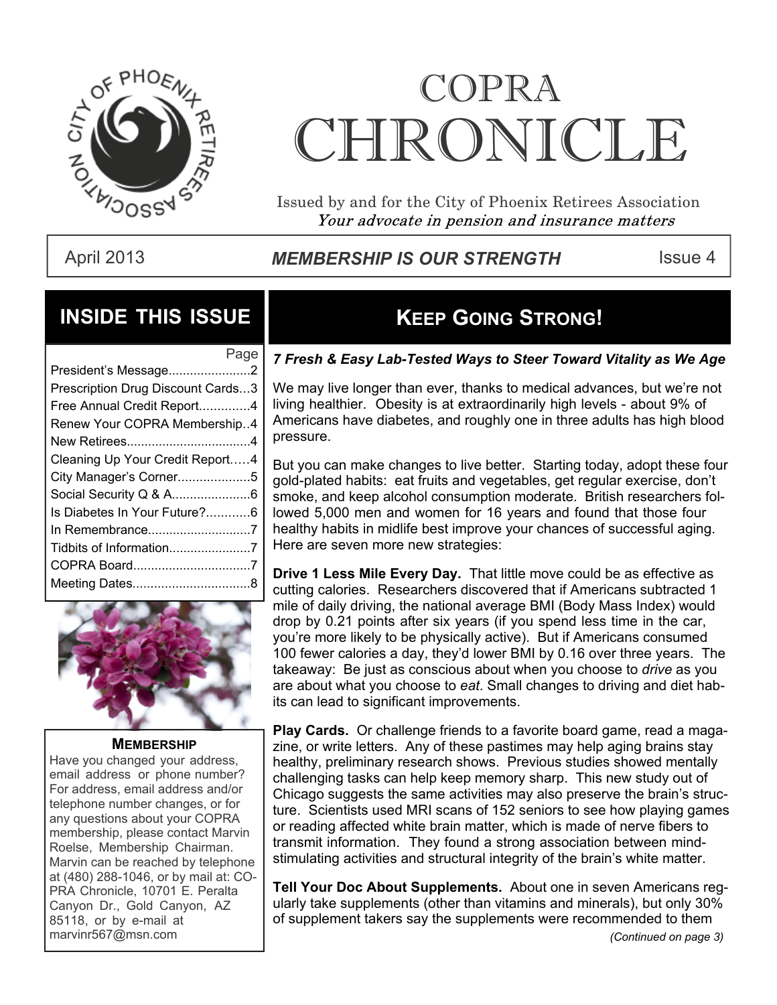

# COPRA CHRONICI.E

Issued by and for the City of Phoenix Retirees Association Your advocate in pension and insurance matters

### April 2013 **Inter Strum MEMBERSHIP IS OUR STRENGTH** This Issue 4

### **INSIDE THIS ISSUE**

| President's Message2              |  |
|-----------------------------------|--|
| Prescription Drug Discount Cards3 |  |
| Free Annual Credit Report4        |  |
| Renew Your COPRA Membership4      |  |
|                                   |  |
| Cleaning Up Your Credit Report4   |  |
| City Manager's Corner5            |  |
| Social Security Q & A6            |  |
| Is Diabetes In Your Future?6      |  |
| In Remembrance7                   |  |
| Tidbits of Information7           |  |
|                                   |  |
|                                   |  |
|                                   |  |



#### **MEMBERSHIP**

Have you changed your address, email address or phone number? For address, email address and/or telephone number changes, or for any questions about your COPRA membership, please contact Marvin Roelse, Membership Chairman. Marvin can be reached by telephone at (480) 288-1046, or by mail at: CO-PRA Chronicle, 10701 E. Peralta Canyon Dr., Gold Canyon, AZ 85118, or by e-mail at marvinr567@msn.com *(Continued on page 3)*

### **KEEP GOING STRONG!**

### Page *7 Fresh & Easy Lab-Tested Ways to Steer Toward Vitality as We Age*

We may live longer than ever, thanks to medical advances, but we're not living healthier. Obesity is at extraordinarily high levels - about 9% of Americans have diabetes, and roughly one in three adults has high blood pressure.

But you can make changes to live better. Starting today, adopt these four gold-plated habits: eat fruits and vegetables, get regular exercise, don't smoke, and keep alcohol consumption moderate. British researchers followed 5,000 men and women for 16 years and found that those four healthy habits in midlife best improve your chances of successful aging. Here are seven more new strategies:

**Drive 1 Less Mile Every Day.** That little move could be as effective as cutting calories. Researchers discovered that if Americans subtracted 1 mile of daily driving, the national average BMI (Body Mass Index) would drop by 0.21 points after six years (if you spend less time in the car, you're more likely to be physically active). But if Americans consumed 100 fewer calories a day, they'd lower BMI by 0.16 over three years. The takeaway: Be just as conscious about when you choose to *drive* as you are about what you choose to *eat*. Small changes to driving and diet habits can lead to significant improvements.

**Play Cards.** Or challenge friends to a favorite board game, read a magazine, or write letters. Any of these pastimes may help aging brains stay healthy, preliminary research shows. Previous studies showed mentally challenging tasks can help keep memory sharp. This new study out of Chicago suggests the same activities may also preserve the brain's structure. Scientists used MRI scans of 152 seniors to see how playing games or reading affected white brain matter, which is made of nerve fibers to transmit information. They found a strong association between mindstimulating activities and structural integrity of the brain's white matter.

**Tell Your Doc About Supplements.** About one in seven Americans regularly take supplements (other than vitamins and minerals), but only 30% of supplement takers say the supplements were recommended to them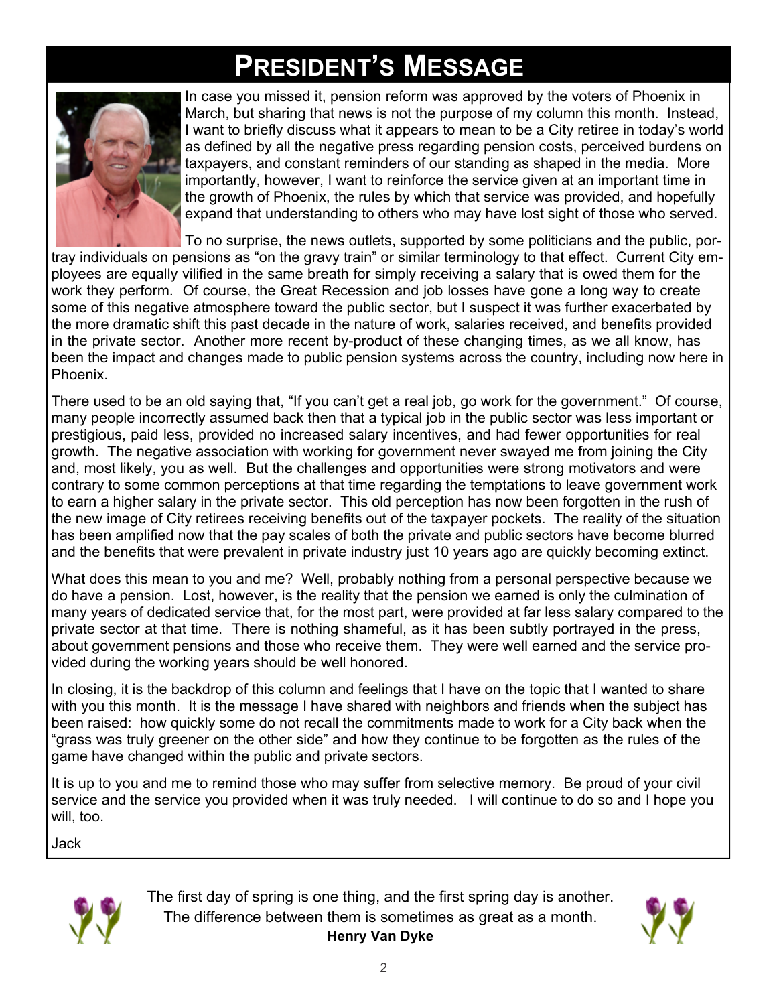## **PRESIDENT'S MESSAGE**



 In case you missed it, pension reform was approved by the voters of Phoenix in March, but sharing that news is not the purpose of my column this month. Instead, I want to briefly discuss what it appears to mean to be a City retiree in today's world as defined by all the negative press regarding pension costs, perceived burdens on taxpayers, and constant reminders of our standing as shaped in the media. More importantly, however, I want to reinforce the service given at an important time in the growth of Phoenix, the rules by which that service was provided, and hopefully expand that understanding to others who may have lost sight of those who served.

To no surprise, the news outlets, supported by some politicians and the public, por-

tray individuals on pensions as "on the gravy train" or similar terminology to that effect. Current City employees are equally vilified in the same breath for simply receiving a salary that is owed them for the work they perform. Of course, the Great Recession and job losses have gone a long way to create some of this negative atmosphere toward the public sector, but I suspect it was further exacerbated by the more dramatic shift this past decade in the nature of work, salaries received, and benefits provided in the private sector. Another more recent by-product of these changing times, as we all know, has been the impact and changes made to public pension systems across the country, including now here in Phoenix.

There used to be an old saying that, "If you can't get a real job, go work for the government." Of course, many people incorrectly assumed back then that a typical job in the public sector was less important or prestigious, paid less, provided no increased salary incentives, and had fewer opportunities for real growth. The negative association with working for government never swayed me from joining the City and, most likely, you as well. But the challenges and opportunities were strong motivators and were contrary to some common perceptions at that time regarding the temptations to leave government work to earn a higher salary in the private sector. This old perception has now been forgotten in the rush of the new image of City retirees receiving benefits out of the taxpayer pockets. The reality of the situation has been amplified now that the pay scales of both the private and public sectors have become blurred and the benefits that were prevalent in private industry just 10 years ago are quickly becoming extinct.

What does this mean to you and me? Well, probably nothing from a personal perspective because we do have a pension. Lost, however, is the reality that the pension we earned is only the culmination of many years of dedicated service that, for the most part, were provided at far less salary compared to the private sector at that time. There is nothing shameful, as it has been subtly portrayed in the press, about government pensions and those who receive them. They were well earned and the service provided during the working years should be well honored.

In closing, it is the backdrop of this column and feelings that I have on the topic that I wanted to share with you this month. It is the message I have shared with neighbors and friends when the subject has been raised: how quickly some do not recall the commitments made to work for a City back when the "grass was truly greener on the other side" and how they continue to be forgotten as the rules of the game have changed within the public and private sectors.

It is up to you and me to remind those who may suffer from selective memory. Be proud of your civil service and the service you provided when it was truly needed. I will continue to do so and I hope you will, too.

Jack



The first day of spring is one thing, and the first spring day is another. The difference between them is sometimes as great as a month. **Henry Van Dyke**

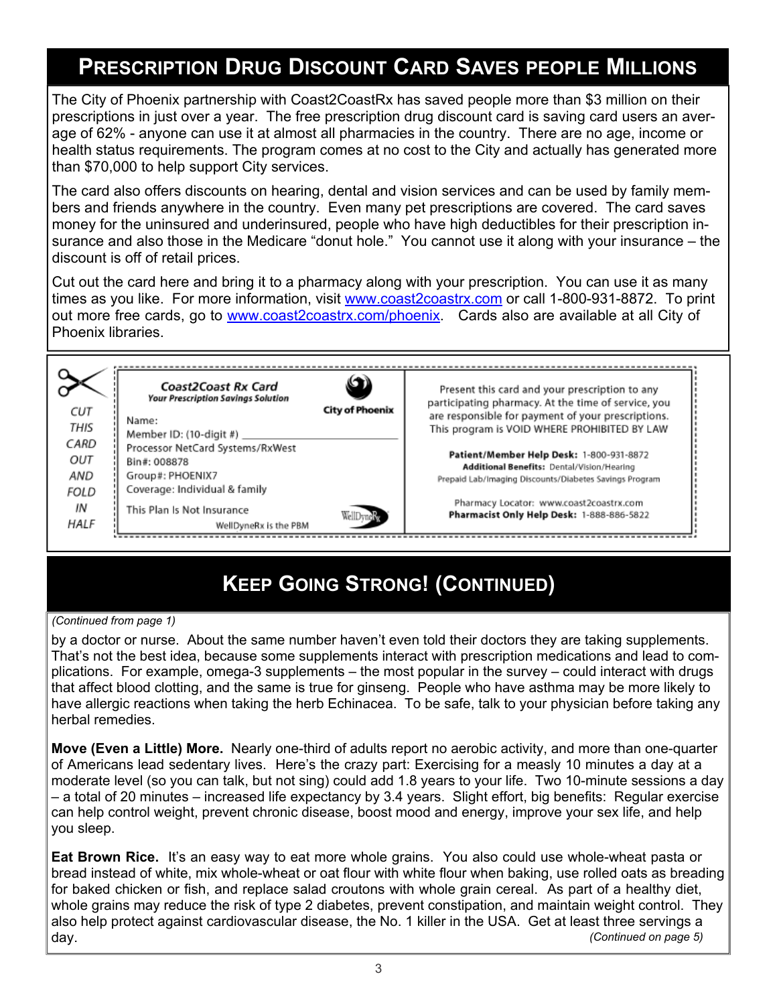### **PRESCRIPTION DRUG DISCOUNT CARD SAVES PEOPLE MILLIONS**

The City of Phoenix partnership with Coast2CoastRx has saved people more than \$3 million on their prescriptions in just over a year. The free prescription drug discount card is saving card users an average of 62% - anyone can use it at almost all pharmacies in the country. There are no age, income or health status requirements. The program comes at no cost to the City and actually has generated more than \$70,000 to help support City services.

The card also offers discounts on hearing, dental and vision services and can be used by family members and friends anywhere in the country. Even many pet prescriptions are covered. The card saves money for the uninsured and underinsured, people who have high deductibles for their prescription insurance and also those in the Medicare "donut hole." You cannot use it along with your insurance – the discount is off of retail prices.

Cut out the card here and bring it to a pharmacy along with your prescription. You can use it as many times as you like. For more information, visit [www.coast2coastrx.com](http://www.coast2coastrx.com) or call 1-800-931-8872. To print out more free cards, go to [www.coast2coastrx.com/phoenix.](http://www.coast2coastrx.com/phoenix) Cards also are available at all City of Phoenix libraries.

| Coast2Coast Rx Card<br><b>Your Prescription Savings Solution</b><br><b>CUT</b><br>Name:<br>THIS<br>Member ID: (10-digit #) _____    | <b>City of Phoenix</b> | Present this card and your prescription to any<br>participating pharmacy. At the time of service, you<br>are responsible for payment of your prescriptions.<br>This program is VOID WHERE PROHIBITED BY LAW |
|-------------------------------------------------------------------------------------------------------------------------------------|------------------------|-------------------------------------------------------------------------------------------------------------------------------------------------------------------------------------------------------------|
| CARD<br>Processor NetCard Systems/RxWest<br>OUT<br>Bin#: 008878<br>AND<br>Group#: PHOENIX7<br>Coverage: Individual & family<br>FOLD |                        | Patient/Member Help Desk: 1-800-931-8872<br>Additional Benefits: Dental/Vision/Hearing<br>Prepaid Lab/Imaging Discounts/Diabetes Savings Program                                                            |
| ΙN<br>This Plan Is Not Insurance<br>HALF<br>WellDyneRx is the PBM                                                                   | WellDyneiss            | Pharmacy Locator: www.coast2coastrx.com<br>Pharmacist Only Help Desk: 1-888-886-5822                                                                                                                        |

### **KEEP GOING STRONG! (CONTINUED)**

#### *(Continued from page 1)*

by a doctor or nurse. About the same number haven't even told their doctors they are taking supplements. That's not the best idea, because some supplements interact with prescription medications and lead to complications. For example, omega-3 supplements – the most popular in the survey – could interact with drugs that affect blood clotting, and the same is true for ginseng. People who have asthma may be more likely to have allergic reactions when taking the herb Echinacea. To be safe, talk to your physician before taking any herbal remedies.

**Move (Even a Little) More.** Nearly one-third of adults report no aerobic activity, and more than one-quarter of Americans lead sedentary lives. Here's the crazy part: Exercising for a measly 10 minutes a day at a moderate level (so you can talk, but not sing) could add 1.8 years to your life. Two 10-minute sessions a day – a total of 20 minutes – increased life expectancy by 3.4 years. Slight effort, big benefits: Regular exercise can help control weight, prevent chronic disease, boost mood and energy, improve your sex life, and help you sleep.

**Eat Brown Rice.** It's an easy way to eat more whole grains. You also could use whole-wheat pasta or bread instead of white, mix whole-wheat or oat flour with white flour when baking, use rolled oats as breading for baked chicken or fish, and replace salad croutons with whole grain cereal. As part of a healthy diet, whole grains may reduce the risk of type 2 diabetes, prevent constipation, and maintain weight control. They also help protect against cardiovascular disease, the No. 1 killer in the USA. Get at least three servings a day. *(Continued on page 5)*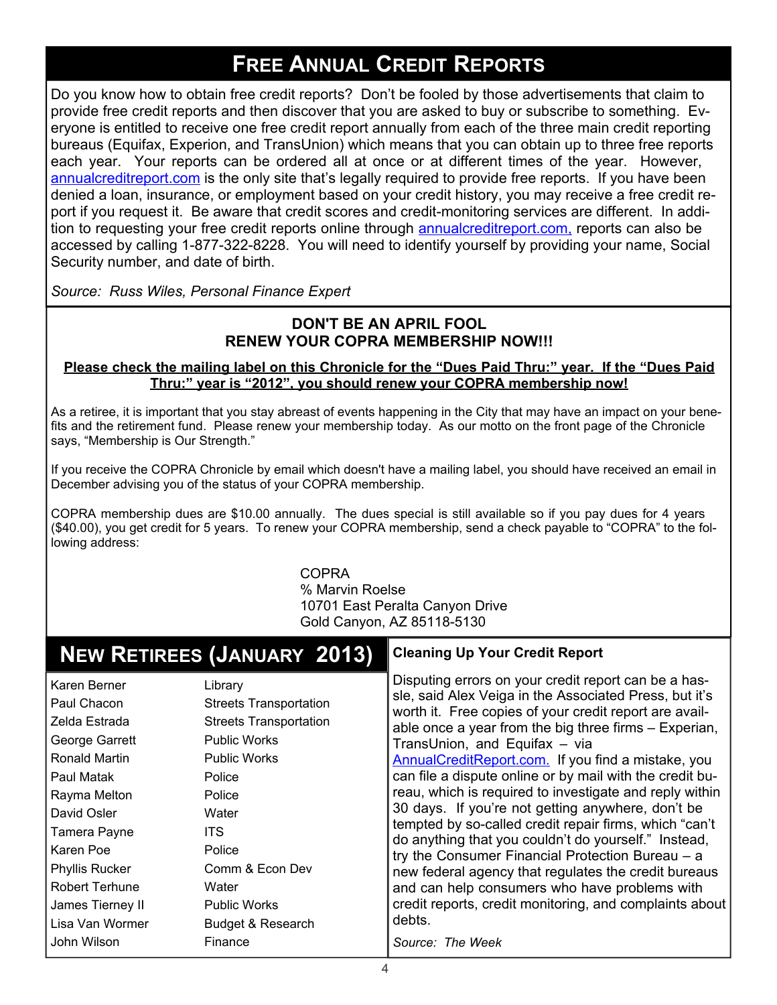### **FREE ANNUAL CREDIT REPORTS**

Do you know how to obtain free credit reports? Don't be fooled by those advertisements that claim to provide free credit reports and then discover that you are asked to buy or subscribe to something. Everyone is entitled to receive one free credit report annually from each of the three main credit reporting bureaus (Equifax, Experion, and TransUnion) which means that you can obtain up to three free reports each year. Your reports can be ordered all at once or at different times of the year. However, [annualcreditreport.com](http://annualcreditreport.com) is the only site that's legally required to provide free reports. If you have been denied a loan, insurance, or employment based on your credit history, you may receive a free credit report if you request it. Be aware that credit scores and credit-monitoring services are different. In addition to requesting your free credit reports online through **annualcreditreport.com**, reports can also be accessed by calling 1-877-322-8228. You will need to identify yourself by providing your name, Social Security number, and date of birth.

*Source: Russ Wiles, Personal Finance Expert*

### **DON'T BE AN APRIL FOOL RENEW YOUR COPRA MEMBERSHIP NOW!!!**

#### **Please check the mailing label on this Chronicle for the "Dues Paid Thru:" year. If the "Dues Paid Thru:" year is "2012", you should renew your COPRA membership now!**

As a retiree, it is important that you stay abreast of events happening in the City that may have an impact on your benefits and the retirement fund. Please renew your membership today. As our motto on the front page of the Chronicle says, "Membership is Our Strength."

If you receive the COPRA Chronicle by email which doesn't have a mailing label, you should have received an email in December advising you of the status of your COPRA membership.

COPRA membership dues are \$10.00 annually. The dues special is still available so if you pay dues for 4 years (\$40.00), you get credit for 5 years. To renew your COPRA membership, send a check payable to "COPRA" to the following address:

> COPRA % Marvin Roelse 10701 East Peralta Canyon Drive Gold Canyon, AZ 85118-5130

|                                                                                                                                                                                                                                                    | <b>NEW RETIREES (JANUARY 2013)</b>                                                                                                                                                                                                                   | <b>Cleaning Up Your Credit Report</b>                                                                                                                                                                                                                                                                                                                                                                                                                                                                                                                                                                                                                                                                                                                                                                                                                    |
|----------------------------------------------------------------------------------------------------------------------------------------------------------------------------------------------------------------------------------------------------|------------------------------------------------------------------------------------------------------------------------------------------------------------------------------------------------------------------------------------------------------|----------------------------------------------------------------------------------------------------------------------------------------------------------------------------------------------------------------------------------------------------------------------------------------------------------------------------------------------------------------------------------------------------------------------------------------------------------------------------------------------------------------------------------------------------------------------------------------------------------------------------------------------------------------------------------------------------------------------------------------------------------------------------------------------------------------------------------------------------------|
| Karen Berner<br>Paul Chacon<br>Zelda Estrada<br>George Garrett<br>Ronald Martin<br>Paul Matak<br>Rayma Melton<br>David Osler<br>Tamera Payne<br>Karen Poe<br><b>Phyllis Rucker</b><br><b>Robert Terhune</b><br>James Tierney II<br>Lisa Van Wormer | Library<br><b>Streets Transportation</b><br><b>Streets Transportation</b><br><b>Public Works</b><br><b>Public Works</b><br>Police<br>Police<br>Water<br><b>ITS</b><br>Police<br>Comm & Econ Dev<br>Water<br><b>Public Works</b><br>Budget & Research | Disputing errors on your credit report can be a has-<br>sle, said Alex Veiga in the Associated Press, but it's<br>worth it. Free copies of your credit report are avail-<br>able once a year from the big three firms - Experian,<br>TransUnion, and Equifax - via<br>AnnualCreditReport.com. If you find a mistake, you<br>can file a dispute online or by mail with the credit bu-<br>reau, which is required to investigate and reply within<br>30 days. If you're not getting anywhere, don't be<br>tempted by so-called credit repair firms, which "can't<br>do anything that you couldn't do yourself." Instead,<br>try the Consumer Financial Protection Bureau - a<br>new federal agency that regulates the credit bureaus<br>and can help consumers who have problems with<br>credit reports, credit monitoring, and complaints about<br>debts. |
| John Wilson                                                                                                                                                                                                                                        | Finance                                                                                                                                                                                                                                              | Source: The Week                                                                                                                                                                                                                                                                                                                                                                                                                                                                                                                                                                                                                                                                                                                                                                                                                                         |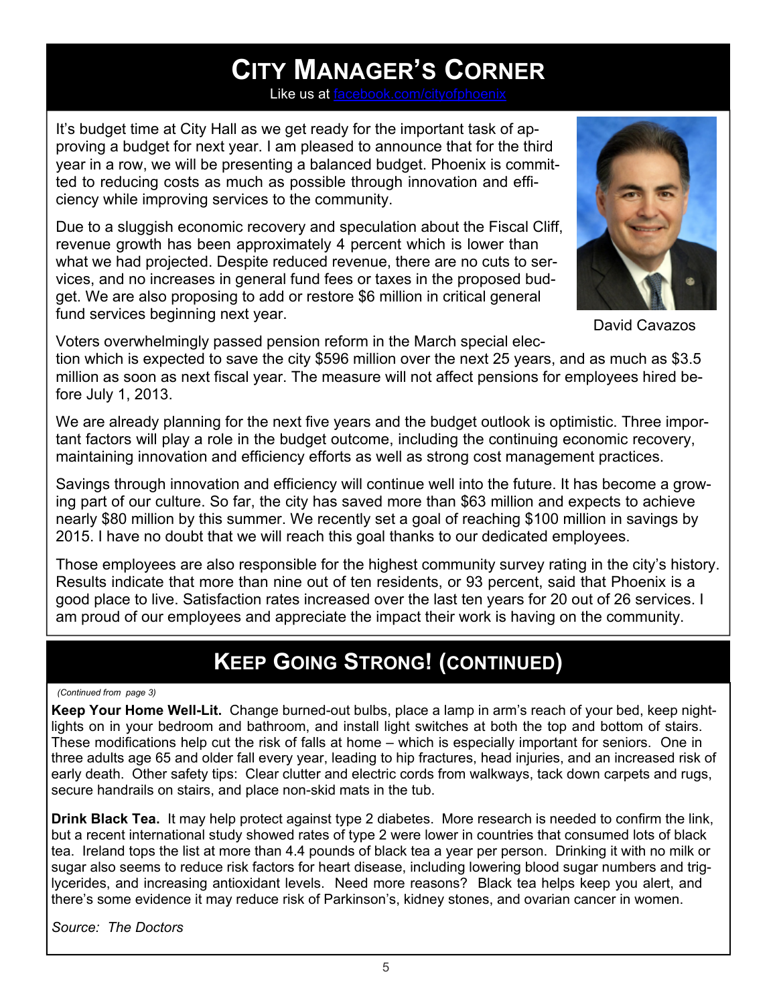### **CITY MANAGER'S CORNER**

Like us at  $f$ 

It's budget time at City Hall as we get ready for the important task of approving a budget for next year. I am pleased to announce that for the third year in a row, we will be presenting a balanced budget. Phoenix is committed to reducing costs as much as possible through innovation and efficiency while improving services to the community.

Due to a sluggish economic recovery and speculation about the Fiscal Cliff, revenue growth has been approximately 4 percent which is lower than what we had projected. Despite reduced revenue, there are no cuts to services, and no increases in general fund fees or taxes in the proposed budget. We are also proposing to add or restore \$6 million in critical general fund services beginning next year.



David Cavazos

Voters overwhelmingly passed pension reform in the March special election which is expected to save the city \$596 million over the next 25 years, and as much as \$3.5 million as soon as next fiscal year. The measure will not affect pensions for employees hired before July 1, 2013.

We are already planning for the next five years and the budget outlook is optimistic. Three important factors will play a role in the budget outcome, including the continuing economic recovery, maintaining innovation and efficiency efforts as well as strong cost management practices.

Savings through innovation and efficiency will continue well into the future. It has become a growing part of our culture. So far, the city has saved more than \$63 million and expects to achieve nearly \$80 million by this summer. We recently set a goal of reaching \$100 million in savings by 2015. I have no doubt that we will reach this goal thanks to our dedicated employees.

Those employees are also responsible for the highest community survey rating in the city's history. Results indicate that more than nine out of ten residents, or 93 percent, said that Phoenix is a good place to live. Satisfaction rates increased over the last ten years for 20 out of 26 services. I am proud of our employees and appreciate the impact their work is having on the community.

### **KEEP GOING STRONG! (CONTINUED)**

#### *(Continued from page 3)*

**Keep Your Home Well-Lit.** Change burned-out bulbs, place a lamp in arm's reach of your bed, keep nightlights on in your bedroom and bathroom, and install light switches at both the top and bottom of stairs. These modifications help cut the risk of falls at home – which is especially important for seniors. One in three adults age 65 and older fall every year, leading to hip fractures, head injuries, and an increased risk of early death. Other safety tips: Clear clutter and electric cords from walkways, tack down carpets and rugs, secure handrails on stairs, and place non-skid mats in the tub.

**Drink Black Tea.** It may help protect against type 2 diabetes. More research is needed to confirm the link, but a recent international study showed rates of type 2 were lower in countries that consumed lots of black tea. Ireland tops the list at more than 4.4 pounds of black tea a year per person. Drinking it with no milk or sugar also seems to reduce risk factors for heart disease, including lowering blood sugar numbers and triglycerides, and increasing antioxidant levels. Need more reasons? Black tea helps keep you alert, and there's some evidence it may reduce risk of Parkinson's, kidney stones, and ovarian cancer in women.

*Source: The Doctors*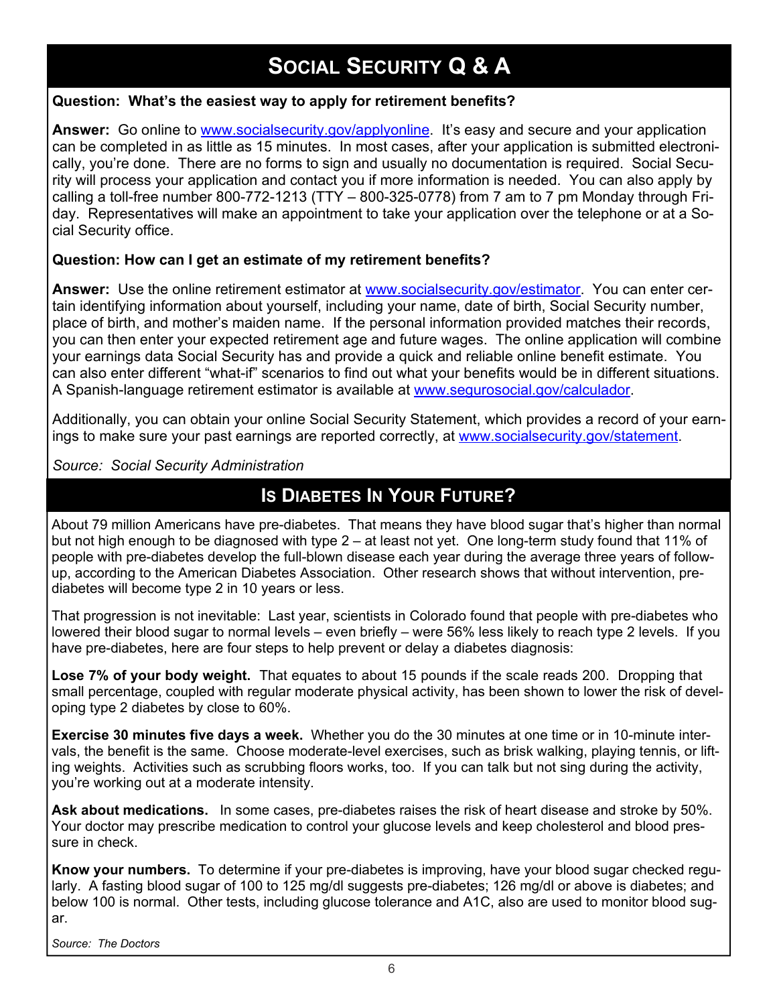### **SOCIAL SECURITY Q & A**

### **Question: What's the easiest way to apply for retirement benefits?**

**Answer:** Go online to [www.socialsecurity.gov/applyonline.](http://socialsecurity.gov/applyonline) It's easy and secure and your application can be completed in as little as 15 minutes. In most cases, after your application is submitted electronically, you're done. There are no forms to sign and usually no documentation is required. Social Security will process your application and contact you if more information is needed. You can also apply by calling a toll-free number 800-772-1213 (TTY – 800-325-0778) from 7 am to 7 pm Monday through Friday. Representatives will make an appointment to take your application over the telephone or at a Social Security office.

### **Question: How can I get an estimate of my retirement benefits?**

**Answer:** Use the online retirement estimator at [www.socialsecurity.gov/estimator.](http://socialsecurity.gov/estimator) You can enter certain identifying information about yourself, including your name, date of birth, Social Security number, place of birth, and mother's maiden name. If the personal information provided matches their records, you can then enter your expected retirement age and future wages. The online application will combine your earnings data Social Security has and provide a quick and reliable online benefit estimate. You can also enter different "what-if" scenarios to find out what your benefits would be in different situations. A Spanish-language retirement estimator is available at [www.segurosocial.gov/calculador.](http://segurosocial.gov/calculador)

Additionally, you can obtain your online Social Security Statement, which provides a record of your earnings to make sure your past earnings are reported correctly, at [www.socialsecurity.gov/statement.](http://socialsecurity.gov/statement)

*Source: Social Security Administration*

### **IS DIABETES IN YOUR FUTURE?**

About 79 million Americans have pre-diabetes. That means they have blood sugar that's higher than normal but not high enough to be diagnosed with type 2 – at least not yet. One long-term study found that 11% of people with pre-diabetes develop the full-blown disease each year during the average three years of followup, according to the American Diabetes Association. Other research shows that without intervention, prediabetes will become type 2 in 10 years or less.

That progression is not inevitable: Last year, scientists in Colorado found that people with pre-diabetes who lowered their blood sugar to normal levels – even briefly – were 56% less likely to reach type 2 levels. If you have pre-diabetes, here are four steps to help prevent or delay a diabetes diagnosis:

**Lose 7% of your body weight.** That equates to about 15 pounds if the scale reads 200. Dropping that small percentage, coupled with regular moderate physical activity, has been shown to lower the risk of developing type 2 diabetes by close to 60%.

**Exercise 30 minutes five days a week.** Whether you do the 30 minutes at one time or in 10-minute intervals, the benefit is the same. Choose moderate-level exercises, such as brisk walking, playing tennis, or lifting weights. Activities such as scrubbing floors works, too. If you can talk but not sing during the activity, you're working out at a moderate intensity.

**Ask about medications.** In some cases, pre-diabetes raises the risk of heart disease and stroke by 50%. Your doctor may prescribe medication to control your glucose levels and keep cholesterol and blood pressure in check.

**Know your numbers.** To determine if your pre-diabetes is improving, have your blood sugar checked regularly. A fasting blood sugar of 100 to 125 mg/dl suggests pre-diabetes; 126 mg/dl or above is diabetes; and below 100 is normal. Other tests, including glucose tolerance and A1C, also are used to monitor blood sugar.

*Source: The Doctors*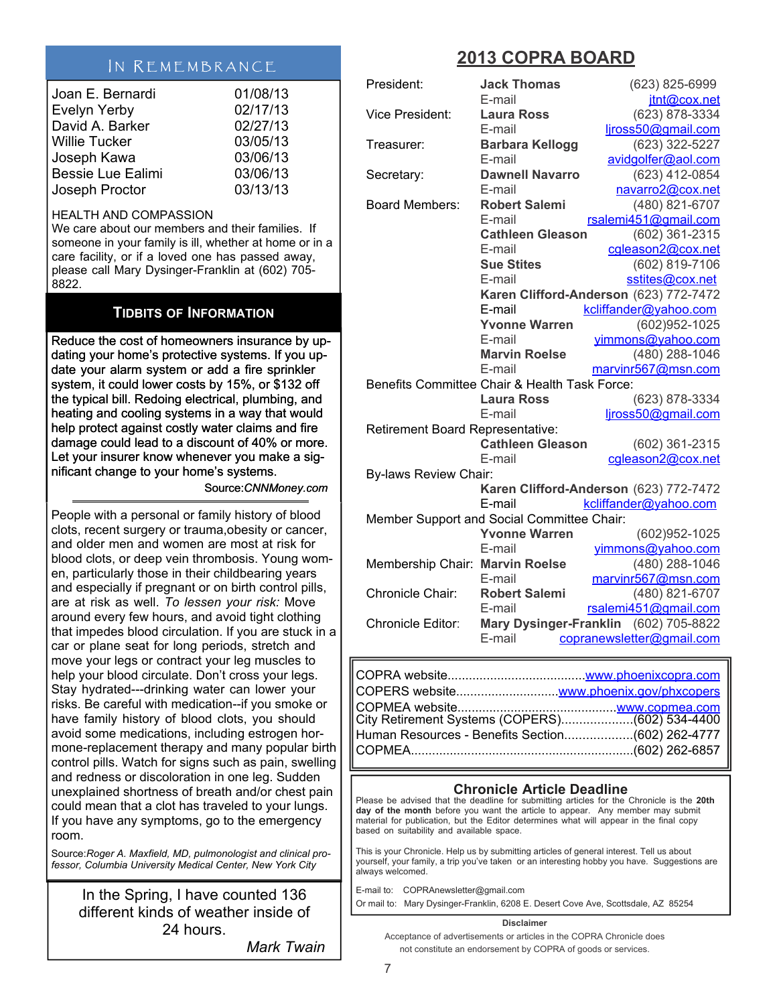### IN REMEMBRANCE

| Joan E. Bernardi         | 01/08/13 |
|--------------------------|----------|
| <b>Evelyn Yerby</b>      | 02/17/13 |
| David A. Barker          | 02/27/13 |
| <b>Willie Tucker</b>     | 03/05/13 |
| Joseph Kawa              | 03/06/13 |
| <b>Bessie Lue Ealimi</b> | 03/06/13 |
| Joseph Proctor           | 03/13/13 |

#### HEALTH AND COMPASSION

We care about our members and their families. If someone in your family is ill, whether at home or in a care facility, or if a loved one has passed away, please call Mary Dysinger-Franklin at (602) 705- 8822.

#### **TIDBITS OF INFORMATION**

Reduce the cost of homeowners insurance by updating your home's protective systems. If you update your alarm system or add a fire sprinkler sprinkler system, it could lower costs by 15%, or \$132 off the typical bill. Redoing electrical, plumbing, and heating and cooling systems in a way that would help protect against costly water claims and fire damage could lead to a discount of 40% or more. Let your insurer know whenever you make a significant change to your home's systems. ng and cooling systems in a way that would<br>protect against costly water claims and fire<br>age could lead to a discount of 40% or more<br>our insurer know whenever you make a sig-<br>int change to your home's systems.

Source:*CNNMoney.com*

People with a personal or family history of blood clots, recent surgery or trauma,obesity or cancer, and older men and women are most at risk for blood clots, or deep vein thrombosis. Young women, particularly those in their childbearing years and especially if pregnant or on birth control pills, are at risk as well. *To lessen your risk:* Move around every few hours, and avoid tight clothing that impedes blood circulation. If you are stuck in a car or plane seat for long periods, stretch and move your legs or contract your leg muscles to help your blood circulate. Don't cross your legs. Stay hydrated---drinking water can lower your risks. Be careful with medication--if you smoke or have family history of blood clots, you should avoid some medications, including estrogen hormone-replacement therapy and many popular birth control pills. Watch for signs such as pain, swelling and redness or discoloration in one leg. Sudden unexplained shortness of breath and/or chest pain could mean that a clot has traveled to your lungs. If you have any symptoms, go to the emergency room.

Source:*Roger A. Maxfield, MD, pulmonologist and clinical professor, Columbia University Medical Center, New York City*

In the Spring, I have counted 136 different kinds of weather inside of 24 hours.

*Mark Twain*

### **2013 COPRA BOARD**

| President:                       | <b>Jack Thomas</b>                            | (623) 825-6999                         |
|----------------------------------|-----------------------------------------------|----------------------------------------|
|                                  | E-mail                                        | jtnt@cox.net                           |
| <b>Vice President:</b>           | <b>Laura Ross</b>                             | (623) 878-3334                         |
|                                  | E-mail                                        | ljross50@gmail.com                     |
| Treasurer:                       | <b>Barbara Kellogg</b>                        | (623) 322-5227                         |
|                                  | E-mail                                        | avidgolfer@aol.com                     |
| Secretary:                       | <b>Dawnell Navarro</b>                        | (623) 412-0854                         |
|                                  | E-mail                                        | navarro2@cox.net                       |
| <b>Board Members:</b>            | <b>Robert Salemi</b>                          | (480) 821-6707                         |
|                                  | E-mail                                        | rsalemi451@gmail.com                   |
|                                  | <b>Cathleen Gleason</b>                       | (602) 361-2315                         |
|                                  | E-mail                                        | cgleason2@cox.net                      |
|                                  | <b>Sue Stites</b>                             | (602) 819-7106                         |
|                                  | E-mail                                        | sstites@cox.net                        |
|                                  |                                               | Karen Clifford-Anderson (623) 772-7472 |
|                                  | E-mail                                        | kcliffander@yahoo.com                  |
|                                  | <b>Yvonne Warren</b>                          | (602)952-1025                          |
|                                  | E-mail                                        | yimmons@yahoo.com                      |
|                                  | <b>Marvin Roelse</b>                          | (480) 288-1046                         |
|                                  | E-mail                                        | marvinr567@msn.com                     |
|                                  | Benefits Committee Chair & Health Task Force: |                                        |
|                                  | <b>Laura Ross</b>                             | (623) 878-3334                         |
|                                  | E-mail                                        | liross50@gmail.com                     |
| Retirement Board Representative: |                                               |                                        |
|                                  | <b>Cathleen Gleason</b>                       | (602) 361-2315                         |
|                                  | E-mail                                        | cgleason2@cox.net                      |
| <b>By-laws Review Chair:</b>     |                                               |                                        |
|                                  |                                               | Karen Clifford-Anderson (623) 772-7472 |
|                                  | E-mail                                        | kcliffander@yahoo.com                  |
|                                  | Member Support and Social Committee Chair:    |                                        |
|                                  | <b>Yvonne Warren</b>                          | (602)952-1025                          |
|                                  | E-mail                                        | yimmons@yahoo.com                      |
| Membership Chair: Marvin Roelse  |                                               | (480) 288-1046                         |
|                                  | E-mail                                        | marvinr567@msn.com                     |
| Chronicle Chair:                 | <b>Robert Salemi</b>                          | (480) 821-6707                         |
|                                  | E-mail                                        | rsalemi451@gmail.com                   |
| Chronicle Editor:                |                                               | Mary Dysinger-Franklin (602) 705-8822  |
|                                  | E-mail                                        | copranewsletter@gmail.com              |
|                                  |                                               |                                        |

| City Retirement Systems (COPERS) (602) 534-4400  |  |
|--------------------------------------------------|--|
| Human Resources - Benefits Section(602) 262-4777 |  |
|                                                  |  |

#### **Chronicle Article Deadline**

Please be advised that the deadline for submitting articles for the Chronicle is the **20th day of the month** before you want the article to appear. Any member may submit material for publication, but the Editor determines what will appear in the final copy based on suitability and available space.

This is your Chronicle. Help us by submitting articles of general interest. Tell us about yourself, your family, a trip you've taken or an interesting hobby you have. Suggestions are always welcomed.

E-mail to: COPRAnewsletter@gmail.com Or mail to: Mary Dysinger-Franklin, 6208 E. Desert Cove Ave, Scottsdale, AZ 85254

#### **Disclaimer**

Acceptance of advertisements or articles in the COPRA Chronicle does not constitute an endorsement by COPRA of goods or services.